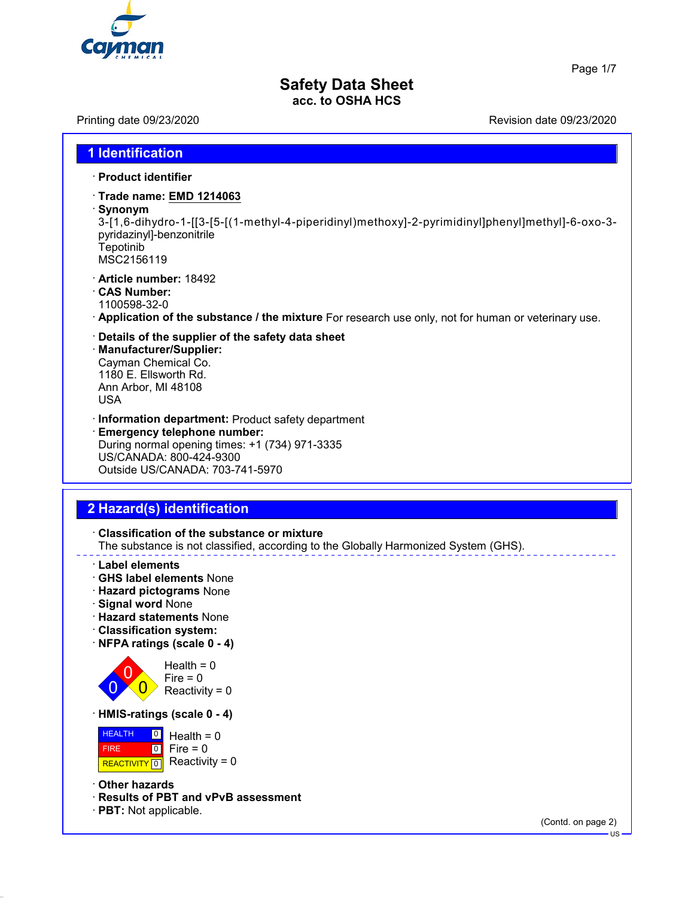

Page 1/7

### **Safety Data Sheet acc. to OSHA HCS**

Printing date 09/23/2020 **Printing date 09/23/2020** Revision date 09/23/2020

# **1 Identification**

- · **Product identifier**
- · **Trade name: EMD 1214063**
- · **Synonym**

3-[1,6-dihydro-1-[[3-[5-[(1-methyl-4-piperidinyl)methoxy]-2-pyrimidinyl]phenyl]methyl]-6-oxo-3 pyridazinyl]-benzonitrile **Tepotinib** MSC2156119

- · **Article number:** 18492
- · **CAS Number:**
- 1100598-32-0
- · **Application of the substance / the mixture** For research use only, not for human or veterinary use.
- · **Details of the supplier of the safety data sheet**
- · **Manufacturer/Supplier:** Cayman Chemical Co. 1180 E. Ellsworth Rd. Ann Arbor, MI 48108 USA
- · **Information department:** Product safety department · **Emergency telephone number:** During normal opening times: +1 (734) 971-3335 US/CANADA: 800-424-9300
- Outside US/CANADA: 703-741-5970

# **2 Hazard(s) identification**

- · **Classification of the substance or mixture** The substance is not classified, according to the Globally Harmonized System (GHS).
- · **Label elements**
- · **GHS label elements** None
- · **Hazard pictograms** None
- · **Signal word** None
- · **Hazard statements** None
- · **Classification system:**
- · **NFPA ratings (scale 0 4)**



 $Health = 0$  $Fire = 0$ Reactivity =  $0$ 

· **HMIS-ratings (scale 0 - 4)**

 HEALTH FIRE REACTIVITY  $\boxed{0}$  Reactivity = 0  $\boxed{0}$  $\overline{0}$ Health  $= 0$  $Fire = 0$ 

- · **Other hazards**
- · **Results of PBT and vPvB assessment**
- · **PBT:** Not applicable.

(Contd. on page 2)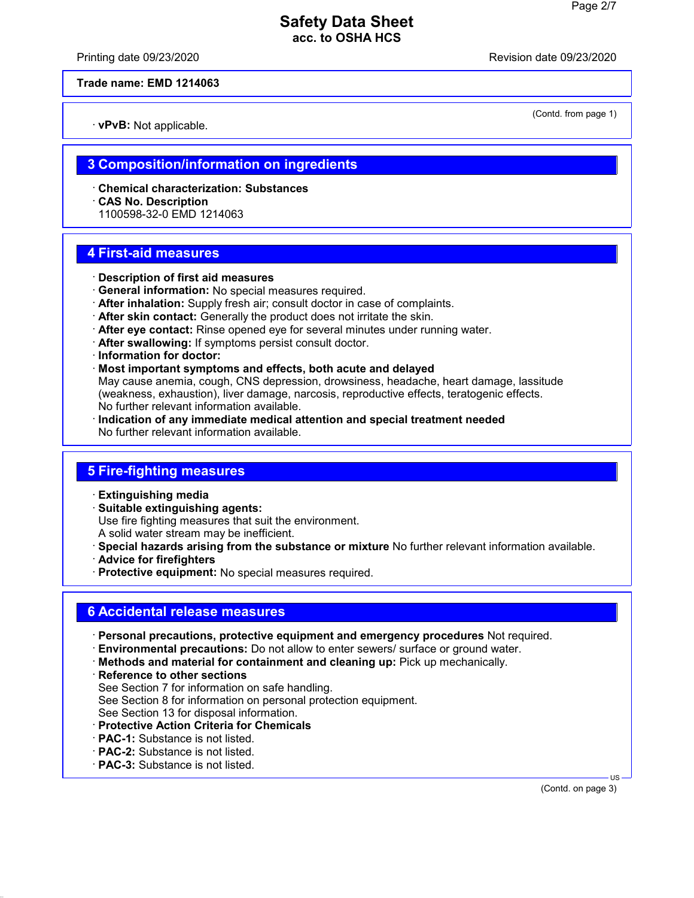Printing date 09/23/2020 **Revision date 09/23/2020** 

(Contd. from page 1)

**Trade name: EMD 1214063**

· **vPvB:** Not applicable.

## **3 Composition/information on ingredients**

- · **Chemical characterization: Substances**
- · **CAS No. Description**
- 1100598-32-0 EMD 1214063

# **4 First-aid measures**

- · **Description of first aid measures**
- · **General information:** No special measures required.
- · **After inhalation:** Supply fresh air; consult doctor in case of complaints.
- · **After skin contact:** Generally the product does not irritate the skin.
- · **After eye contact:** Rinse opened eye for several minutes under running water.
- · **After swallowing:** If symptoms persist consult doctor.
- · **Information for doctor:**
- · **Most important symptoms and effects, both acute and delayed**

May cause anemia, cough, CNS depression, drowsiness, headache, heart damage, lassitude (weakness, exhaustion), liver damage, narcosis, reproductive effects, teratogenic effects. No further relevant information available.

· **Indication of any immediate medical attention and special treatment needed** No further relevant information available.

# **5 Fire-fighting measures**

- · **Extinguishing media**
- · **Suitable extinguishing agents:**
- Use fire fighting measures that suit the environment.
- A solid water stream may be inefficient.
- · **Special hazards arising from the substance or mixture** No further relevant information available.
- · **Advice for firefighters**
- · **Protective equipment:** No special measures required.

# **6 Accidental release measures**

- · **Personal precautions, protective equipment and emergency procedures** Not required.
- · **Environmental precautions:** Do not allow to enter sewers/ surface or ground water.
- · **Methods and material for containment and cleaning up:** Pick up mechanically.
- · **Reference to other sections** See Section 7 for information on safe handling. See Section 8 for information on personal protection equipment. See Section 13 for disposal information.
- · **Protective Action Criteria for Chemicals**
- · **PAC-1:** Substance is not listed.
- · **PAC-2:** Substance is not listed.
- · **PAC-3:** Substance is not listed.

 US (Contd. on page 3)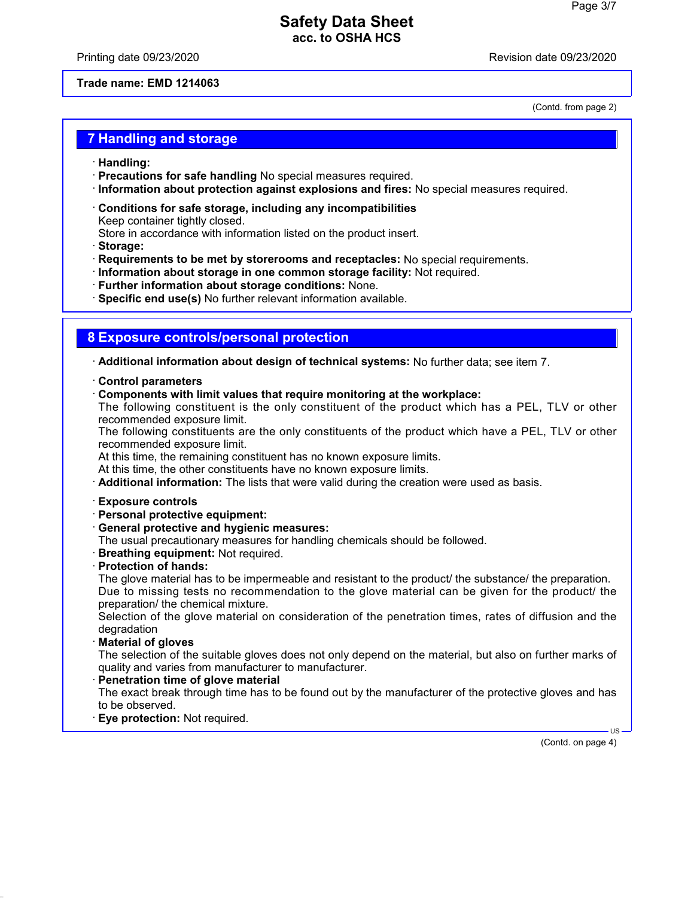Printing date 09/23/2020 **Printing date 09/23/2020** 

(Contd. from page 2)

### **Trade name: EMD 1214063**

**7 Handling and storage**

- · **Handling:**
- · **Precautions for safe handling** No special measures required.
- · **Information about protection against explosions and fires:** No special measures required.
- · **Conditions for safe storage, including any incompatibilities** Keep container tightly closed. Store in accordance with information listed on the product insert.
- · **Storage:**
- · **Requirements to be met by storerooms and receptacles:** No special requirements.
- · **Information about storage in one common storage facility:** Not required.
- · **Further information about storage conditions:** None.
- · **Specific end use(s)** No further relevant information available.

### **8 Exposure controls/personal protection**

· **Additional information about design of technical systems:** No further data; see item 7.

- · **Control parameters**
- · **Components with limit values that require monitoring at the workplace:**

The following constituent is the only constituent of the product which has a PEL, TLV or other recommended exposure limit.

The following constituents are the only constituents of the product which have a PEL, TLV or other recommended exposure limit.

At this time, the remaining constituent has no known exposure limits.

At this time, the other constituents have no known exposure limits.

· **Additional information:** The lists that were valid during the creation were used as basis.

- · **Exposure controls**
- · **Personal protective equipment:**
- · **General protective and hygienic measures:**
- The usual precautionary measures for handling chemicals should be followed.
- · **Breathing equipment:** Not required.
- · **Protection of hands:**

The glove material has to be impermeable and resistant to the product/ the substance/ the preparation. Due to missing tests no recommendation to the glove material can be given for the product/ the preparation/ the chemical mixture.

Selection of the glove material on consideration of the penetration times, rates of diffusion and the degradation

· **Material of gloves**

The selection of the suitable gloves does not only depend on the material, but also on further marks of quality and varies from manufacturer to manufacturer.

· **Penetration time of glove material**

The exact break through time has to be found out by the manufacturer of the protective gloves and has to be observed.

· **Eye protection:** Not required.

(Contd. on page 4)

US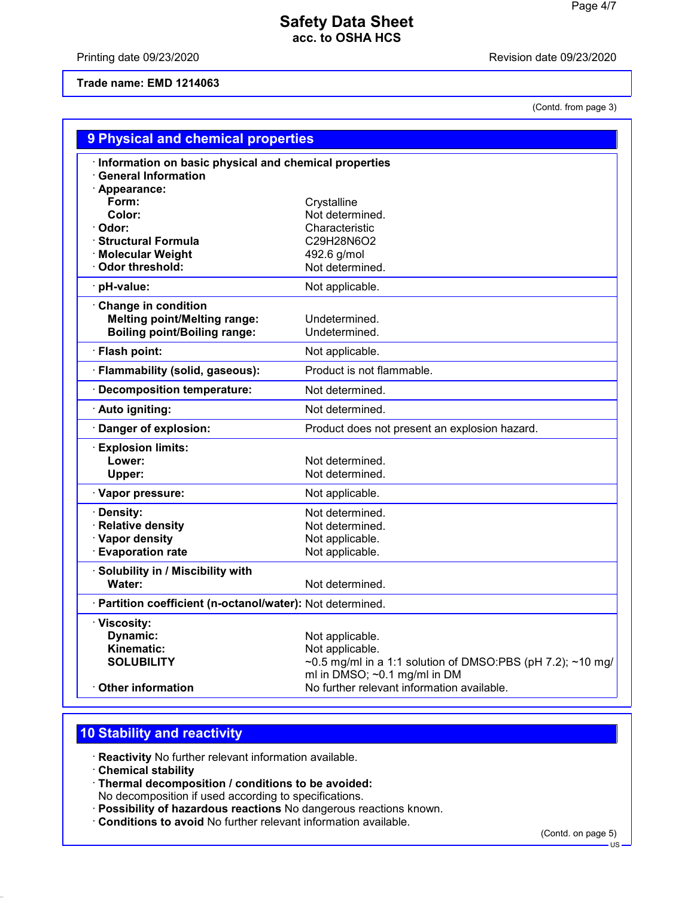Printing date 09/23/2020 **Revision date 09/23/2020** 

### **Trade name: EMD 1214063**

(Contd. from page 3)

| 9 Physical and chemical properties                                                                       |                                                                                                                                     |
|----------------------------------------------------------------------------------------------------------|-------------------------------------------------------------------------------------------------------------------------------------|
| · Information on basic physical and chemical properties<br><b>General Information</b><br>· Appearance:   |                                                                                                                                     |
| Form:<br>Color:<br>Odor:                                                                                 | Crystalline<br>Not determined.<br>Characteristic                                                                                    |
| <b>Structural Formula</b><br>· Molecular Weight<br><b>Odor threshold:</b>                                | C29H28N6O2<br>492.6 g/mol<br>Not determined.                                                                                        |
| pH-value:                                                                                                | Not applicable.                                                                                                                     |
| <b>Change in condition</b><br><b>Melting point/Melting range:</b><br><b>Boiling point/Boiling range:</b> | Undetermined.<br>Undetermined.                                                                                                      |
| Flash point:                                                                                             | Not applicable.                                                                                                                     |
| · Flammability (solid, gaseous):                                                                         | Product is not flammable.                                                                                                           |
| <b>Decomposition temperature:</b>                                                                        | Not determined.                                                                                                                     |
| · Auto igniting:                                                                                         | Not determined.                                                                                                                     |
| Danger of explosion:                                                                                     | Product does not present an explosion hazard.                                                                                       |
| <b>Explosion limits:</b><br>Lower:<br>Upper:                                                             | Not determined.<br>Not determined.                                                                                                  |
| · Vapor pressure:                                                                                        | Not applicable.                                                                                                                     |
| Density:<br><b>Relative density</b><br>· Vapor density<br>· Evaporation rate                             | Not determined.<br>Not determined.<br>Not applicable.<br>Not applicable.                                                            |
| Solubility in / Miscibility with<br>Water:                                                               | Not determined.                                                                                                                     |
| · Partition coefficient (n-octanol/water): Not determined.                                               |                                                                                                                                     |
| · Viscosity:<br><b>Dynamic:</b><br>Kinematic:<br><b>SOLUBILITY</b>                                       | Not applicable.<br>Not applicable.<br>~0.5 mg/ml in a 1:1 solution of DMSO:PBS (pH 7.2); ~10 mg/<br>ml in $DMSO$ ; ~0.1 mg/ml in DM |
| <b>Other information</b>                                                                                 | No further relevant information available.                                                                                          |

# **10 Stability and reactivity**

· **Reactivity** No further relevant information available.

- · **Chemical stability**
- · **Thermal decomposition / conditions to be avoided:**
- No decomposition if used according to specifications.
- · **Possibility of hazardous reactions** No dangerous reactions known.
- · **Conditions to avoid** No further relevant information available.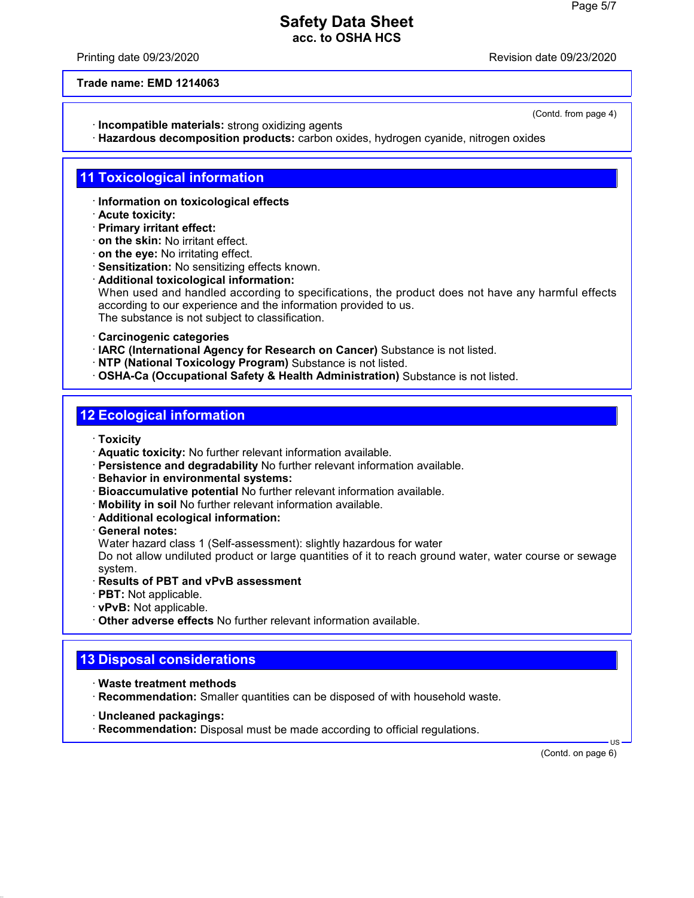Printing date 09/23/2020 **Printing date 09/23/2020** 

(Contd. from page 4)

**Trade name: EMD 1214063**

- · **Incompatible materials:** strong oxidizing agents
- · **Hazardous decomposition products:** carbon oxides, hydrogen cyanide, nitrogen oxides

### **11 Toxicological information**

- · **Information on toxicological effects**
- · **Acute toxicity:**
- · **Primary irritant effect:**
- · **on the skin:** No irritant effect.
- · **on the eye:** No irritating effect.
- · **Sensitization:** No sensitizing effects known.
- · **Additional toxicological information:** When used and handled according to specifications, the product does not have any harmful effects according to our experience and the information provided to us. The substance is not subject to classification.
- · **Carcinogenic categories**
- · **IARC (International Agency for Research on Cancer)** Substance is not listed.
- · **NTP (National Toxicology Program)** Substance is not listed.
- · **OSHA-Ca (Occupational Safety & Health Administration)** Substance is not listed.

### **12 Ecological information**

· **Toxicity**

- · **Aquatic toxicity:** No further relevant information available.
- · **Persistence and degradability** No further relevant information available.
- · **Behavior in environmental systems:**
- · **Bioaccumulative potential** No further relevant information available.
- · **Mobility in soil** No further relevant information available.
- · **Additional ecological information:**
- · **General notes:**

Water hazard class 1 (Self-assessment): slightly hazardous for water

Do not allow undiluted product or large quantities of it to reach ground water, water course or sewage system.

- · **Results of PBT and vPvB assessment**
- · **PBT:** Not applicable.
- · **vPvB:** Not applicable.
- · **Other adverse effects** No further relevant information available.

### **13 Disposal considerations**

- · **Waste treatment methods**
- · **Recommendation:** Smaller quantities can be disposed of with household waste.
- · **Uncleaned packagings:**

· **Recommendation:** Disposal must be made according to official regulations.

(Contd. on page 6)

US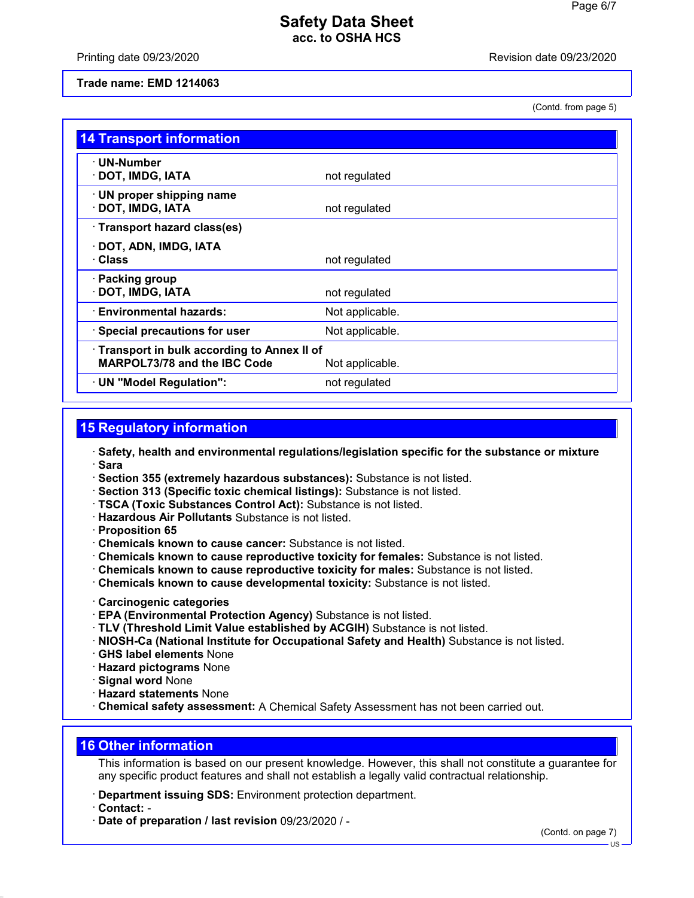Printing date 09/23/2020 **Revision date 09/23/2020** 

### **Trade name: EMD 1214063**

(Contd. from page 5)

| <b>14 Transport information</b>                                                                        |                 |
|--------------------------------------------------------------------------------------------------------|-----------------|
| · UN-Number<br>· DOT, IMDG, IATA                                                                       | not regulated   |
| · UN proper shipping name<br>· DOT, IMDG, IATA                                                         | not regulated   |
| · Transport hazard class(es)                                                                           |                 |
| · DOT, ADN, IMDG, IATA<br>· Class                                                                      | not regulated   |
| · Packing group<br>· DOT, IMDG, IATA                                                                   | not regulated   |
| · Environmental hazards:                                                                               | Not applicable. |
| $\cdot$ Special precautions for user                                                                   | Not applicable. |
| · Transport in bulk according to Annex II of<br><b>MARPOL73/78 and the IBC Code</b><br>Not applicable. |                 |
| · UN "Model Regulation":                                                                               | not regulated   |

# **15 Regulatory information**

- · **Safety, health and environmental regulations/legislation specific for the substance or mixture** · **Sara**
- · **Section 355 (extremely hazardous substances):** Substance is not listed.
- · **Section 313 (Specific toxic chemical listings):** Substance is not listed.
- · **TSCA (Toxic Substances Control Act):** Substance is not listed.
- · **Hazardous Air Pollutants** Substance is not listed.
- · **Proposition 65**
- · **Chemicals known to cause cancer:** Substance is not listed.
- · **Chemicals known to cause reproductive toxicity for females:** Substance is not listed.
- · **Chemicals known to cause reproductive toxicity for males:** Substance is not listed.
- · **Chemicals known to cause developmental toxicity:** Substance is not listed.
- · **Carcinogenic categories**
- · **EPA (Environmental Protection Agency)** Substance is not listed.
- · **TLV (Threshold Limit Value established by ACGIH)** Substance is not listed.
- · **NIOSH-Ca (National Institute for Occupational Safety and Health)** Substance is not listed.
- · **GHS label elements** None
- · **Hazard pictograms** None
- · **Signal word** None
- · **Hazard statements** None

· **Chemical safety assessment:** A Chemical Safety Assessment has not been carried out.

### **16 Other information**

This information is based on our present knowledge. However, this shall not constitute a guarantee for any specific product features and shall not establish a legally valid contractual relationship.

- · **Department issuing SDS:** Environment protection department.
- · **Contact:** -
- · **Date of preparation / last revision** 09/23/2020 / -

(Contd. on page 7)

US